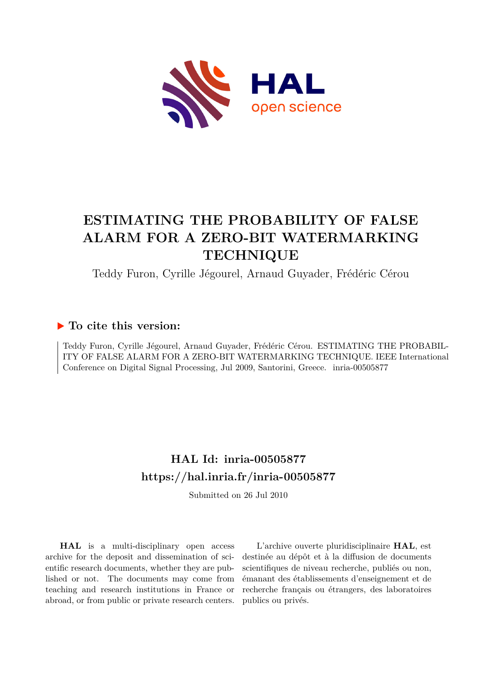

# **ESTIMATING THE PROBABILITY OF FALSE ALARM FOR A ZERO-BIT WATERMARKING TECHNIQUE**

Teddy Furon, Cyrille Jégourel, Arnaud Guyader, Frédéric Cérou

### **To cite this version:**

Teddy Furon, Cyrille Jégourel, Arnaud Guyader, Frédéric Cérou. ESTIMATING THE PROBABIL-ITY OF FALSE ALARM FOR A ZERO-BIT WATERMARKING TECHNIQUE. IEEE International Conference on Digital Signal Processing, Jul 2009, Santorini, Greece. inria-00505877

## **HAL Id: inria-00505877 <https://hal.inria.fr/inria-00505877>**

Submitted on 26 Jul 2010

**HAL** is a multi-disciplinary open access archive for the deposit and dissemination of scientific research documents, whether they are published or not. The documents may come from teaching and research institutions in France or abroad, or from public or private research centers.

L'archive ouverte pluridisciplinaire **HAL**, est destinée au dépôt et à la diffusion de documents scientifiques de niveau recherche, publiés ou non, émanant des établissements d'enseignement et de recherche français ou étrangers, des laboratoires publics ou privés.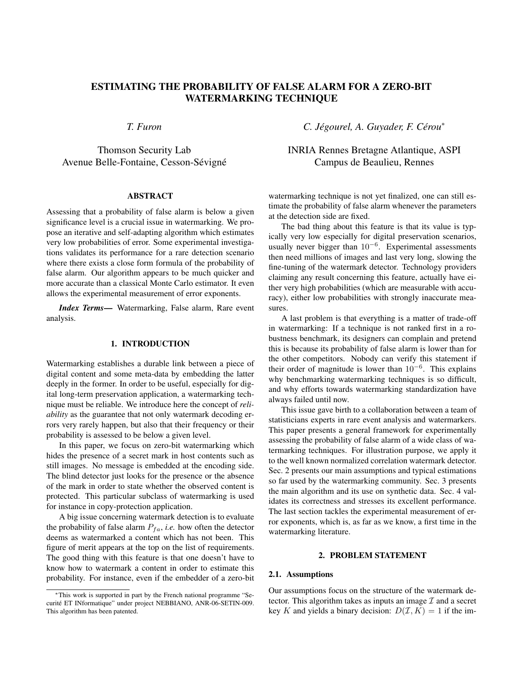### ESTIMATING THE PROBABILITY OF FALSE ALARM FOR A ZERO-BIT WATERMARKING TECHNIQUE

*T. Furon*

Thomson Security Lab Avenue Belle-Fontaine, Cesson-Sévigné

#### ABSTRACT

Assessing that a probability of false alarm is below a given significance level is a crucial issue in watermarking. We propose an iterative and self-adapting algorithm which estimates very low probabilities of error. Some experimental investigations validates its performance for a rare detection scenario where there exists a close form formula of the probability of false alarm. Our algorithm appears to be much quicker and more accurate than a classical Monte Carlo estimator. It even allows the experimental measurement of error exponents.

*Index Terms*— Watermarking, False alarm, Rare event analysis.

#### 1. INTRODUCTION

Watermarking establishes a durable link between a piece of digital content and some meta-data by embedding the latter deeply in the former. In order to be useful, especially for digital long-term preservation application, a watermarking technique must be reliable. We introduce here the concept of *reliability* as the guarantee that not only watermark decoding errors very rarely happen, but also that their frequency or their probability is assessed to be below a given level.

In this paper, we focus on zero-bit watermarking which hides the presence of a secret mark in host contents such as still images. No message is embedded at the encoding side. The blind detector just looks for the presence or the absence of the mark in order to state whether the observed content is protected. This particular subclass of watermarking is used for instance in copy-protection application.

A big issue concerning watermark detection is to evaluate the probability of false alarm  $P_{fa}$ , *i.e.* how often the detector deems as watermarked a content which has not been. This figure of merit appears at the top on the list of requirements. The good thing with this feature is that one doesn't have to know how to watermark a content in order to estimate this probability. For instance, even if the embedder of a zero-bit *C. Jegourel, A. Guyader, F. C ´ erou ´* ∗

INRIA Rennes Bretagne Atlantique, ASPI Campus de Beaulieu, Rennes

watermarking technique is not yet finalized, one can still estimate the probability of false alarm whenever the parameters at the detection side are fixed.

The bad thing about this feature is that its value is typically very low especially for digital preservation scenarios, usually never bigger than  $10^{-6}$ . Experimental assessments then need millions of images and last very long, slowing the fine-tuning of the watermark detector. Technology providers claiming any result concerning this feature, actually have either very high probabilities (which are measurable with accuracy), either low probabilities with strongly inaccurate measures.

A last problem is that everything is a matter of trade-off in watermarking: If a technique is not ranked first in a robustness benchmark, its designers can complain and pretend this is because its probability of false alarm is lower than for the other competitors. Nobody can verify this statement if their order of magnitude is lower than  $10^{-6}$ . This explains why benchmarking watermarking techniques is so difficult, and why efforts towards watermarking standardization have always failed until now.

This issue gave birth to a collaboration between a team of statisticians experts in rare event analysis and watermarkers. This paper presents a general framework for experimentally assessing the probability of false alarm of a wide class of watermarking techniques. For illustration purpose, we apply it to the well known normalized correlation watermark detector. Sec. 2 presents our main assumptions and typical estimations so far used by the watermarking community. Sec. 3 presents the main algorithm and its use on synthetic data. Sec. 4 validates its correctness and stresses its excellent performance. The last section tackles the experimental measurement of error exponents, which is, as far as we know, a first time in the watermarking literature.

#### 2. PROBLEM STATEMENT

#### 2.1. Assumptions

Our assumptions focus on the structure of the watermark detector. This algorithm takes as inputs an image  $\mathcal I$  and a secret key K and yields a binary decision:  $D(\mathcal{I}, K) = 1$  if the im-

<sup>∗</sup>This work is supported in part by the French national programme "Securité ET INformatique" under project NEBBIANO, ANR-06-SETIN-009. This algorithm has been patented.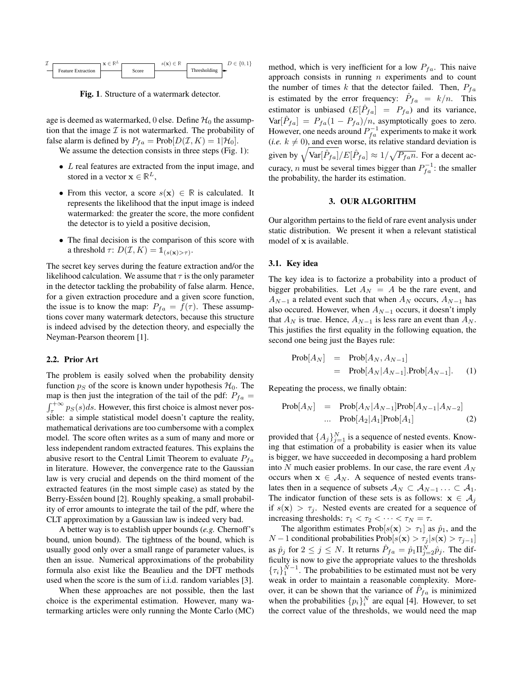

Fig. 1. Structure of a watermark detector.

age is deemed as watermarked, 0 else. Define  $\mathcal{H}_0$  the assumption that the image  $\mathcal I$  is not watermarked. The probability of false alarm is defined by  $P_{fa} = Prob[D(\mathcal{I}, K) = 1|\mathcal{H}_0]$ .

We assume the detection consists in three steps (Fig. 1):

- L real features are extracted from the input image, and stored in a vector  $\mathbf{x} \in \mathbb{R}^L$ ,
- From this vector, a score  $s(\mathbf{x}) \in \mathbb{R}$  is calculated. It represents the likelihood that the input image is indeed watermarked: the greater the score, the more confident the detector is to yield a positive decision,
- The final decision is the comparison of this score with a threshold  $\tau: D(\mathcal{I}, K) = \mathbb{1}_{(s(\mathbf{x}) > \tau)}$ .

The secret key serves during the feature extraction and/or the likelihood calculation. We assume that  $\tau$  is the only parameter in the detector tackling the probability of false alarm. Hence, for a given extraction procedure and a given score function, the issue is to know the map:  $P_{fa} = f(\tau)$ . These assumptions cover many watermark detectors, because this structure is indeed advised by the detection theory, and especially the Neyman-Pearson theorem [1].

#### 2.2. Prior Art

The problem is easily solved when the probability density function  $p_S$  of the score is known under hypothesis  $\mathcal{H}_0$ . The map is then just the integration of the tail of the pdf:  $P_{fa}$  =  $\int_{\tau}^{+\infty} p_S(s)ds$ . However, this first choice is almost never possible: a simple statistical model doesn't capture the reality, mathematical derivations are too cumbersome with a complex model. The score often writes as a sum of many and more or less independent random extracted features. This explains the abusive resort to the Central Limit Theorem to evaluate  $P_{fa}$ in literature. However, the convergence rate to the Gaussian law is very crucial and depends on the third moment of the extracted features (in the most simple case) as stated by the Berry-Esséen bound [2]. Roughly speaking, a small probability of error amounts to integrate the tail of the pdf, where the CLT approximation by a Gaussian law is indeed very bad.

A better way is to establish upper bounds (*e.g.* Chernoff's bound, union bound). The tightness of the bound, which is usually good only over a small range of parameter values, is then an issue. Numerical approximations of the probability formula also exist like the Beaulieu and the DFT methods used when the score is the sum of i.i.d. random variables [3].

When these approaches are not possible, then the last choice is the experimental estimation. However, many watermarking articles were only running the Monte Carlo (MC) method, which is very inefficient for a low  $P_{fa}$ . This naive approach consists in running  $n$  experiments and to count the number of times k that the detector failed. Then,  $P_{fa}$ is estimated by the error frequency:  $\hat{P}_{fa} = k/n$ . This estimator is unbiased  $(E[\hat{P}_{fa}] = P_{fa})$  and its variance,  $Var[\hat{P}_{fa}] = P_{fa}(1 - P_{fa})/n$ , asymptotically goes to zero. However, one needs around  $P_{fa}^{-1}$  experiments to make it work (*i.e.*  $k \neq 0$ ), and even worse, its relative standard deviation is given by  $\sqrt{\text{Var}[\hat{P}_{fa}]/E[\hat{P}_{fa}]} \approx 1/\sqrt{P_{fa}n}$ . For a decent accuracy, *n* must be several times bigger than  $P_{f_a}^{-1}$ : the smaller the probability, the harder its estimation.

#### 3. OUR ALGORITHM

Our algorithm pertains to the field of rare event analysis under static distribution. We present it when a relevant statistical model of x is available.

#### 3.1. Key idea

The key idea is to factorize a probability into a product of bigger probabilities. Let  $A_N = A$  be the rare event, and  $A_{N-1}$  a related event such that when  $A_N$  occurs,  $A_{N-1}$  has also occured. However, when  $A_{N-1}$  occurs, it doesn't imply that  $A_N$  is true. Hence,  $A_{N-1}$  is less rare an event than  $A_N$ . This justifies the first equality in the following equation, the second one being just the Bayes rule:

$$
Prob[A_N] = Prob[A_N, A_{N-1}]
$$
  
= Prob[A\_N|A\_{N-1}].Prob[A\_{N-1}]. (1)

Repeating the process, we finally obtain:

$$
Prob[A_N] = Prob[A_N|A_{N-1}]Prob[A_{N-1}|A_{N-2}]
$$
  
... 
$$
Prob[A_2|A_1]Prob[A_1]
$$
 (2)

provided that  $\{A_j\}_{j=1}^N$  is a sequence of nested events. Knowing that estimation of a probability is easier when its value is bigger, we have succeeded in decomposing a hard problem into N much easier problems. In our case, the rare event  $A_N$ occurs when  $x \in A_N$ . A sequence of nested events translates then in a sequence of subsets  $A_N \subset A_{N-1} \ldots \subset A_1$ . The indicator function of these sets is as follows:  $x \in A_i$ if  $s(\mathbf{x}) > \tau_i$ . Nested events are created for a sequence of increasing thresholds:  $\tau_1 < \tau_2 < \cdots < \tau_N = \tau$ .

The algorithm estimates Prob $[s(\mathbf{x}) > \tau_1]$  as  $\hat{p}_1$ , and the  $N-1$  conditional probabilities Prob $[s(\mathbf{x}) > \tau_j | s(\mathbf{x}) > \tau_{j-1}]$ as  $\hat{p}_j$  for  $2 \le j \le N$ . It returns  $\hat{P}_{fa} = \hat{p}_1 \Pi_{j=2}^N \hat{p}_j$ . The difficulty is now to give the appropriate values to the thresholds  $\{\tau_i\}_{1}^{\tilde{N}-1}$ . The probabilities to be estimated must not be very weak in order to maintain a reasonable complexity. Moreover, it can be shown that the variance of  $\hat{P}_{fa}$  is minimized when the probabilities  $\{p_i\}_i^N$  are equal [4]. However, to set the correct value of the thresholds, we would need the map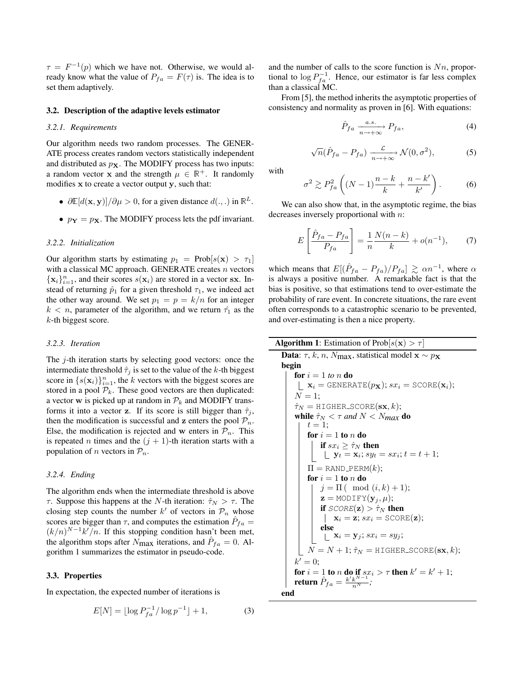$\tau = F^{-1}(p)$  which we have not. Otherwise, we would already know what the value of  $P_{fa} = F(\tau)$  is. The idea is to set them adaptively.

#### 3.2. Description of the adaptive levels estimator

#### *3.2.1. Requirements*

Our algorithm needs two random processes. The GENER-ATE process creates random vectors statistically independent and distributed as  $p<sub>X</sub>$ . The MODIFY process has two inputs: a random vector x and the strength  $\mu \in \mathbb{R}^+$ . It randomly modifies x to create a vector output y, such that:

- $\partial \mathbb{E}[d(\mathbf{x}, \mathbf{y})]/\partial \mu > 0$ , for a given distance  $d(., .)$  in  $\mathbb{R}^L$ .
- $p_Y = p_X$ . The MODIFY process lets the pdf invariant.

#### *3.2.2. Initialization*

Our algorithm starts by estimating  $p_1 = \text{Prob}[s(\mathbf{x}) > \tau_1]$ with a classical MC approach. GENERATE creates  $n$  vectors  $\{x_i\}_{i=1}^n$ , and their scores  $s(x_i)$  are stored in a vector sx. Instead of returning  $\hat{p}_1$  for a given threshold  $\tau_1$ , we indeed act the other way around. We set  $p_1 = p = k/n$  for an integer  $k < n$ , parameter of the algorithm, and we return  $\hat{\tau}_1$  as the k-th biggest score.

#### *3.2.3. Iteration*

The  $j$ -th iteration starts by selecting good vectors: once the intermediate threshold  $\hat{\tau}_i$  is set to the value of the k-th biggest score in  $\{s(\mathbf{x}_i)\}_{i=1}^n$ , the k vectors with the biggest scores are stored in a pool  $P_k$ . These good vectors are then duplicated: a vector w is picked up at random in  $\mathcal{P}_k$  and MODIFY transforms it into a vector z. If its score is still bigger than  $\hat{\tau}_j$ , then the modification is successful and **z** enters the pool  $\mathcal{P}_n$ . Else, the modification is rejected and w enters in  $\mathcal{P}_n$ . This is repeated *n* times and the  $(j + 1)$ -th iteration starts with a population of *n* vectors in  $\mathcal{P}_n$ .

#### *3.2.4. Ending*

The algorithm ends when the intermediate threshold is above τ. Suppose this happens at the N-th iteration:  $\hat{\tau}_N > \tau$ . The closing step counts the number k' of vectors in  $\mathcal{P}_n$  whose scores are bigger than  $\tau$ , and computes the estimation  $\hat{P}_{fa} =$  $(k/n)^{N-1}k^{\prime}/n$ . If this stopping condition hasn't been met, the algorithm stops after  $N_{\text{max}}$  iterations, and  $\hat{P}_{fa} = 0$ . Algorithm 1 summarizes the estimator in pseudo-code.

#### 3.3. Properties

In expectation, the expected number of iterations is

$$
E[N] = \lfloor \log P_{fa}^{-1} / \log p^{-1} \rfloor + 1,\tag{3}
$$

and the number of calls to the score function is  $Nn$ , proportional to  $\log P_{fa}^{-1}$ . Hence, our estimator is far less complex than a classical MC.

From [5], the method inherits the asymptotic properties of consistency and normality as proven in [6]. With equations:

$$
\hat{P}_{fa} \xrightarrow[n \to +\infty]{a.s.} P_{fa}, \tag{4}
$$

$$
\sqrt{n}(\hat{P}_{fa} - P_{fa}) \xrightarrow[n \to +\infty]{\mathcal{L}} \mathcal{N}(0, \sigma^2),
$$
 (5)

with

$$
\sigma^2 \gtrsim P_{fa}^2 \left( (N-1)\frac{n-k}{k} + \frac{n-k'}{k'} \right). \tag{6}
$$

We can also show that, in the asymptotic regime, the bias decreases inversely proportional with n:

$$
E\left[\frac{\hat{P}_{fa} - P_{fa}}{P_{fa}}\right] = \frac{1}{n} \frac{N(n-k)}{k} + o(n^{-1}),\tag{7}
$$

which means that  $E[(\hat{P}_{fa} - P_{fa})/P_{fa}] \gtrsim \alpha n^{-1}$ , where  $\alpha$ is always a positive number. A remarkable fact is that the bias is positive, so that estimations tend to over-estimate the probability of rare event. In concrete situations, the rare event often corresponds to a catastrophic scenario to be prevented, and over-estimating is then a nice property.

#### **Algorithm 1:** Estimation of Prob $[s(\mathbf{x}) > \tau]$

**Data**:  $\tau$ , k, n, N<sub>max</sub>, statistical model  $\mathbf{x} \sim p_{\mathbf{X}}$ begin for  $i = 1$  *to n* **do**  $\mathbf{x}_i = \text{GENERALE}(p_\mathbf{X}); s x_i = \text{SCORE}(\mathbf{x}_i);$  $N = 1$ ;  $\hat{\tau}_N =$  HIGHER\_SCORE( $\mathbf{s} \mathbf{x}, k$ ); while  $\hat{\tau}_N < \tau$  and  $N < N_{max}$  do  $t=1;$ for  $i = 1$  to n do if  $sx_i \geq \hat{\tau}_N$  then  $y_t = x_i$ ;  $sy_t = sx_i$ ;  $t = t + 1$ ;  $\Pi =$ RAND\_PERM $(k)$ ; for  $i = 1$  to n do  $j = \Pi$  ( mod  $(i, k) + 1$ );  $\mathbf{z} = \text{MODIFY}(\mathbf{y}_j, \mu);$ if  $SCORE(\mathbf{z}) > \hat{\tau}_N$  then  $\mathbf{x}_i = \mathbf{z}; s x_i = \text{SCORE}(\mathbf{z});$ else  $\sum_{i=1}^{n} \mathbf{x}_i = \mathbf{y}_j; s x_i = s y_j;$  $N = N + 1$ ;  $\hat{\tau}_N =$  HIGHER\_SCORE(sx, k);  $k' = 0;$ for  $i = 1$  to n do if  $sx_i > \tau$  then  $k' = k' + 1$ ; return  $\hat{P}_{fa} = \frac{k' k^{N-1}}{n^N}$ ; end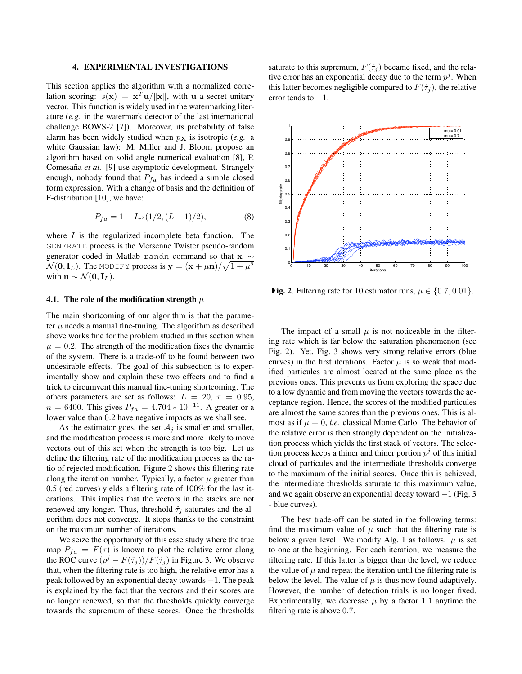#### 4. EXPERIMENTAL INVESTIGATIONS

This section applies the algorithm with a normalized correlation scoring:  $s(\mathbf{x}) = \mathbf{x}^T \mathbf{u}/\|\mathbf{x}\|$ , with u a secret unitary vector. This function is widely used in the watermarking literature (*e.g.* in the watermark detector of the last international challenge BOWS-2 [7]). Moreover, its probability of false alarm has been widely studied when  $p<sub>x</sub>$  is isotropic (*e.g.* a white Gaussian law): M. Miller and J. Bloom propose an algorithm based on solid angle numerical evaluation [8], P. Comesaña et al. [9] use asymptotic development. Strangely enough, nobody found that  $P_{fa}$  has indeed a simple closed form expression. With a change of basis and the definition of F-distribution [10], we have:

$$
P_{fa} = 1 - I_{\tau^2}(1/2, (L-1)/2),\tag{8}
$$

where  $I$  is the regularized incomplete beta function. The GENERATE process is the Mersenne Twister pseudo-random generator coded in Matlab randn command so that <sup>x</sup> <sup>∼</sup>  $\mathcal{N}(\mathbf{0}, \mathbf{I}_L)$ . The MODIFY process is  $\mathbf{y} = (\mathbf{x} + \mu \mathbf{n}) / \sqrt{1 + \mu^2}$ with  $\mathbf{n} \sim \mathcal{N}(\mathbf{0}, \mathbf{I}_L)$ .

#### 4.1. The role of the modification strength  $\mu$

The main shortcoming of our algorithm is that the parameter  $\mu$  needs a manual fine-tuning. The algorithm as described above works fine for the problem studied in this section when  $\mu = 0.2$ . The strength of the modification fixes the dynamic of the system. There is a trade-off to be found between two undesirable effects. The goal of this subsection is to experimentally show and explain these two effects and to find a trick to circumvent this manual fine-tuning shortcoming. The others parameters are set as follows:  $L = 20, \tau = 0.95$ ,  $n = 6400$ . This gives  $P_{fa} = 4.704 * 10^{-11}$ . A greater or a lower value than 0.2 have negative impacts as we shall see.

As the estimator goes, the set  $A_i$  is smaller and smaller, and the modification process is more and more likely to move vectors out of this set when the strength is too big. Let us define the filtering rate of the modification process as the ratio of rejected modification. Figure 2 shows this filtering rate along the iteration number. Typically, a factor  $\mu$  greater than 0.5 (red curves) yields a filtering rate of 100% for the last iterations. This implies that the vectors in the stacks are not renewed any longer. Thus, threshold  $\hat{\tau}_i$  saturates and the algorithm does not converge. It stops thanks to the constraint on the maximum number of iterations.

We seize the opportunity of this case study where the true map  $P_{fa} = F(\tau)$  is known to plot the relative error along the ROC curve  $(p^j - F(\hat{\tau}_j))/F(\hat{\tau}_j)$  in Figure 3. We observe that, when the filtering rate is too high, the relative error has a peak followed by an exponential decay towards −1. The peak is explained by the fact that the vectors and their scores are no longer renewed, so that the thresholds quickly converge towards the supremum of these scores. Once the thresholds

saturate to this supremum,  $F(\hat{\tau}_i)$  became fixed, and the relative error has an exponential decay due to the term  $p<sup>j</sup>$ . When this latter becomes negligible compared to  $F(\hat{\tau}_i)$ , the relative error tends to  $-1$ .



Fig. 2. Filtering rate for 10 estimator runs,  $\mu \in \{0.7, 0.01\}$ .

The impact of a small  $\mu$  is not noticeable in the filtering rate which is far below the saturation phenomenon (see Fig. 2). Yet, Fig. 3 shows very strong relative errors (blue curves) in the first iterations. Factor  $\mu$  is so weak that modified particules are almost located at the same place as the previous ones. This prevents us from exploring the space due to a low dynamic and from moving the vectors towards the acceptance region. Hence, the scores of the modified particules are almost the same scores than the previous ones. This is almost as if  $\mu = 0$ , *i.e.* classical Monte Carlo. The behavior of the relative error is then strongly dependent on the initialization process which yields the first stack of vectors. The selection process keeps a thiner and thiner portion  $p<sup>j</sup>$  of this initial cloud of particules and the intermediate thresholds converge to the maximum of the initial scores. Once this is achieved, the intermediate thresholds saturate to this maximum value, and we again observe an exponential decay toward  $-1$  (Fig. 3) - blue curves).

The best trade-off can be stated in the following terms: find the maximum value of  $\mu$  such that the filtering rate is below a given level. We modify Alg. 1 as follows.  $\mu$  is set to one at the beginning. For each iteration, we measure the filtering rate. If this latter is bigger than the level, we reduce the value of  $\mu$  and repeat the iteration until the filtering rate is below the level. The value of  $\mu$  is thus now found adaptively. However, the number of detection trials is no longer fixed. Experimentally, we decrease  $\mu$  by a factor 1.1 anytime the filtering rate is above 0.7.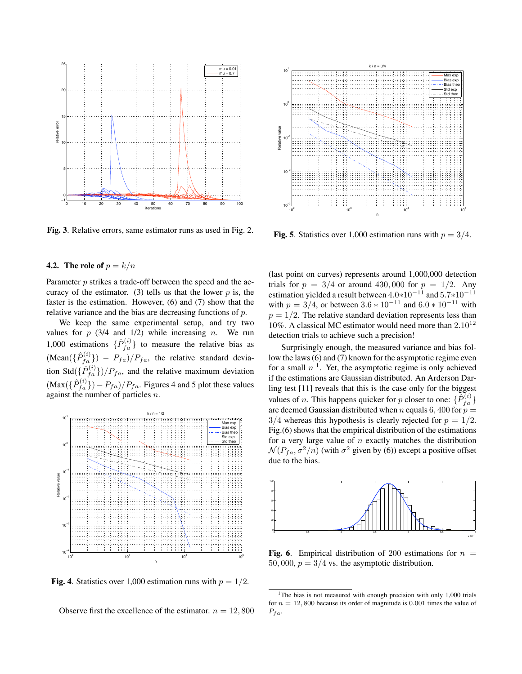

Fig. 3. Relative errors, same estimator runs as used in Fig. 2.

#### **4.2.** The role of  $p = k/n$

Parameter p strikes a trade-off between the speed and the accuracy of the estimator. (3) tells us that the lower  $p$  is, the faster is the estimation. However, (6) and (7) show that the relative variance and the bias are decreasing functions of p.

We keep the same experimental setup, and try two values for  $p$  (3/4 and 1/2) while increasing n. We run 1,000 estimations  $\{\hat{P}_{fa}^{(i)}\}$  to measure the relative bias as  $(\text{Mean}(\lbrace \hat{P}_{fa}^{(i)} \rbrace) - P_{fa})/P_{fa}$ , the relative standard deviation Std $(\{\hat{P}_{fa}^{(i)}\})/P_{fa}$ , and the relative maximum deviation  $(\text{Max}\left(\{\hat{P}_{fa}^{(i)}\}\right) - P_{fa})/P_{fa}$ . Figures 4 and 5 plot these values against the number of particles n.



**Fig. 4.** Statistics over 1,000 estimation runs with  $p = 1/2$ .

Observe first the excellence of the estimator.  $n = 12,800$ 



Fig. 5. Statistics over 1,000 estimation runs with  $p = 3/4$ .

(last point on curves) represents around 1,000,000 detection trials for  $p = 3/4$  or around 430,000 for  $p = 1/2$ . Any estimation yielded a result between <sup>4</sup>.0∗10<sup>−</sup><sup>11</sup> and <sup>5</sup>.7∗10<sup>−</sup><sup>11</sup> with  $p = 3/4$ , or between  $3.6 * 10^{-11}$  and  $6.0 * 10^{-11}$  with  $p = 1/2$ . The relative standard deviation represents less than 10%. A classical MC estimator would need more than  $2.10^{12}$ detection trials to achieve such a precision!

Surprisingly enough, the measured variance and bias follow the laws (6) and (7) known for the asymptotic regime even for a small  $n<sup>1</sup>$ . Yet, the asymptotic regime is only achieved if the estimations are Gaussian distributed. An Arderson Darling test [11] reveals that this is the case only for the biggest values of *n*. This happens quicker for *p* closer to one:  $\{\hat{P}_{fa}^{(i)}\}$ are deemed Gaussian distributed when n equals 6, 400 for  $p =$  $3/4$  whereas this hypothesis is clearly rejected for  $p = 1/2$ . Fig.(6) shows that the empirical distribution of the estimations for a very large value of  $n$  exactly matches the distribution  $\mathcal{N}(P_{fa}, \sigma^2/n)$  (with  $\sigma^2$  given by (6)) except a positive offset due to the bias.



**Fig. 6.** Empirical distribution of 200 estimations for  $n =$ 50, 000,  $p = 3/4$  vs. the asymptotic distribution.

<sup>&</sup>lt;sup>1</sup>The bias is not measured with enough precision with only 1,000 trials for  $n = 12,800$  because its order of magnitude is 0.001 times the value of  $P_{fa}$ .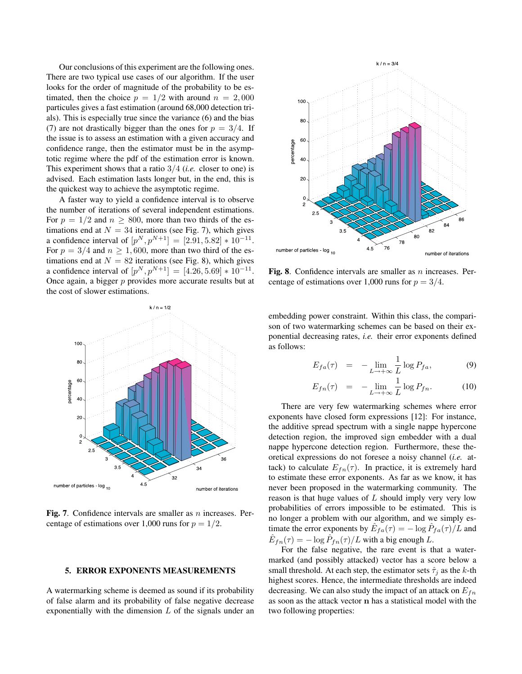Our conclusions of this experiment are the following ones. There are two typical use cases of our algorithm. If the user looks for the order of magnitude of the probability to be estimated, then the choice  $p = 1/2$  with around  $n = 2,000$ particules gives a fast estimation (around 68,000 detection trials). This is especially true since the variance (6) and the bias (7) are not drastically bigger than the ones for  $p = 3/4$ . If the issue is to assess an estimation with a given accuracy and confidence range, then the estimator must be in the asymptotic regime where the pdf of the estimation error is known. This experiment shows that a ratio 3/4 (*i.e.* closer to one) is advised. Each estimation lasts longer but, in the end, this is the quickest way to achieve the asymptotic regime.

A faster way to yield a confidence interval is to observe the number of iterations of several independent estimations. For  $p = 1/2$  and  $n \ge 800$ , more than two thirds of the estimations end at  $N = 34$  iterations (see Fig. 7), which gives a confidence interval of  $[p^N, p^{N+1}] = [2.91, 5.82] * 10^{-11}$ . For  $p = 3/4$  and  $n \ge 1,600$ , more than two third of the estimations end at  $N = 82$  iterations (see Fig. 8), which gives a confidence interval of  $[p^N, p^{N+1}] = [4.26, 5.69] * 10^{-11}$ . Once again, a bigger  $p$  provides more accurate results but at the cost of slower estimations.



Fig. 7. Confidence intervals are smaller as  $n$  increases. Percentage of estimations over 1,000 runs for  $p = 1/2$ .

#### 5. ERROR EXPONENTS MEASUREMENTS

A watermarking scheme is deemed as sound if its probability of false alarm and its probability of false negative decrease exponentially with the dimension  $L$  of the signals under an



Fig. 8. Confidence intervals are smaller as  $n$  increases. Percentage of estimations over 1,000 runs for  $p = 3/4$ .

embedding power constraint. Within this class, the comparison of two watermarking schemes can be based on their exponential decreasing rates, *i.e.* their error exponents defined as follows:

$$
E_{fa}(\tau) = -\lim_{L \to +\infty} \frac{1}{L} \log P_{fa}, \tag{9}
$$

$$
E_{fn}(\tau) = -\lim_{L \to +\infty} \frac{1}{L} \log P_{fn}.
$$
 (10)

There are very few watermarking schemes where error exponents have closed form expressions [12]: For instance, the additive spread spectrum with a single nappe hypercone detection region, the improved sign embedder with a dual nappe hypercone detection region. Furthermore, these theoretical expressions do not foresee a noisy channel (*i.e.* attack) to calculate  $E_{fn}(\tau)$ . In practice, it is extremely hard to estimate these error exponents. As far as we know, it has never been proposed in the watermarking community. The reason is that huge values of L should imply very very low probabilities of errors impossible to be estimated. This is no longer a problem with our algorithm, and we simply estimate the error exponents by  $\hat{E}_{fa}(\tau) = -\log \hat{P}_{fa}(\tau)/\tilde{L}$  and  $\hat{E}_{fn}(\tau) = -\log \hat{P}_{fn}(\tau) / L$  with a big enough L.

For the false negative, the rare event is that a watermarked (and possibly attacked) vector has a score below a small threshold. At each step, the estimator sets  $\hat{\tau}_i$  as the k-th highest scores. Hence, the intermediate thresholds are indeed decreasing. We can also study the impact of an attack on  $E_{fn}$ as soon as the attack vector n has a statistical model with the two following properties: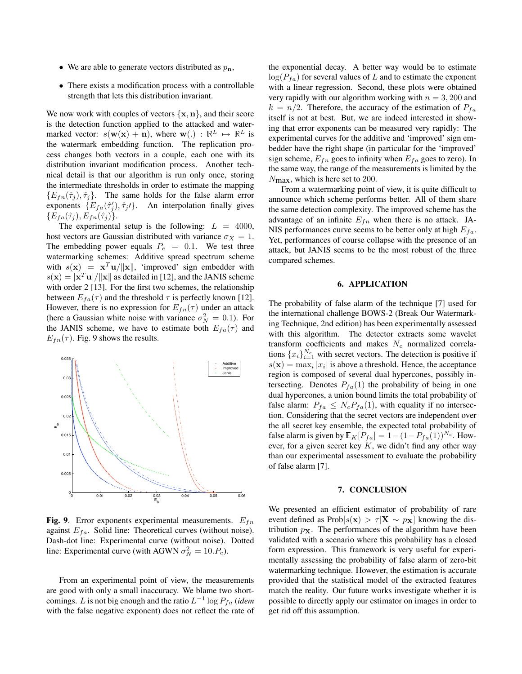- We are able to generate vectors distributed as  $p_n$ ,
- There exists a modification process with a controllable strength that lets this distribution invariant.

We now work with couples of vectors  $\{x, n\}$ , and their score is the detection function applied to the attacked and watermarked vector:  $s(\mathbf{w}(\mathbf{x}) + \mathbf{n})$ , where  $\mathbf{w}(.) : \mathbb{R}^L \mapsto \mathbb{R}^L$  is the watermark embedding function. The replication process changes both vectors in a couple, each one with its distribution invariant modification process. Another technical detail is that our algorithm is run only once, storing the intermediate thresholds in order to estimate the mapping  ${E_{fn}(\hat{\tau}_i), \hat{\tau}_i}$ . The same holds for the false alarm error exponents  $\{E_{fa}(\hat{\tau}_j'), \hat{\tau}_j'\}$ . An interpolation finally gives  $\{E_{fa}(\hat{\tau}_j), E_{fn}(\hat{\tau}_j)\}.$ 

The experimental setup is the following:  $L = 4000$ , host vectors are Gaussian distributed with variance  $\sigma_X = 1$ . The embedding power equals  $P_e = 0.1$ . We test three watermarking schemes: Additive spread spectrum scheme with  $s(\mathbf{x}) = \mathbf{x}^T \mathbf{u}/\|\mathbf{x}\|$ , 'improved' sign embedder with  $s(\mathbf{x}) = |\mathbf{x}^T \mathbf{u}| / ||\mathbf{x}||$  as detailed in [12], and the JANIS scheme with order 2 [13]. For the first two schemes, the relationship between  $E_{fa}(\tau)$  and the threshold  $\tau$  is perfectly known [12]. However, there is no expression for  $E_{fn}(\tau)$  under an attack (here a Gaussian white noise with variance  $\sigma_N^2 = 0.1$ ). For the JANIS scheme, we have to estimate both  $E_{fa}(\tau)$  and  $E_{fn}(\tau)$ . Fig. 9 shows the results.



**Fig. 9.** Error exponents experimental measurements.  $E_{fn}$ against  $E_{fa}$ . Solid line: Theoretical curves (without noise). Dash-dot line: Experimental curve (without noise). Dotted line: Experimental curve (with AGWN  $\sigma_N^2 = 10.P_e$ ).

From an experimental point of view, the measurements are good with only a small inaccuracy. We blame two shortcomings. L is not big enough and the ratio  $L^{-1} \log P_{fa}$  (*idem*) with the false negative exponent) does not reflect the rate of the exponential decay. A better way would be to estimate  $log(P_{fa})$  for several values of L and to estimate the exponent with a linear regression. Second, these plots were obtained very rapidly with our algorithm working with  $n = 3,200$  and  $k = n/2$ . Therefore, the accuracy of the estimation of  $P_{fa}$ itself is not at best. But, we are indeed interested in showing that error exponents can be measured very rapidly: The experimental curves for the additive and 'improved' sign embedder have the right shape (in particular for the 'improved' sign scheme,  $E_{fn}$  goes to infinity when  $E_{fa}$  goes to zero). In the same way, the range of the measurements is limited by the  $N_{\rm max}$ , which is here set to 200.

From a watermarking point of view, it is quite difficult to announce which scheme performs better. All of them share the same detection complexity. The improved scheme has the advantage of an infinite  $E_{fn}$  when there is no attack. JA-NIS performances curve seems to be better only at high  $E_{fa}$ . Yet, performances of course collapse with the presence of an attack, but JANIS seems to be the most robust of the three compared schemes.

#### 6. APPLICATION

The probability of false alarm of the technique [7] used for the international challenge BOWS-2 (Break Our Watermarking Technique, 2nd edition) has been experimentally assessed with this algorithm. The detector extracts some wavelet transform coefficients and makes  $N_c$  normalized correlations  $\{x_i\}_{i=1}^{N_c}$  with secret vectors. The detection is positive if  $s(\mathbf{x}) = \max_i |x_i|$  is above a threshold. Hence, the acceptance region is composed of several dual hypercones, possibly intersecting. Denotes  $P_{fa}(1)$  the probability of being in one dual hypercones, a union bound limits the total probability of false alarm:  $P_{fa} \leq N_c P_{fa}(1)$ , with equality if no intersection. Considering that the secret vectors are independent over the all secret key ensemble, the expected total probability of false alarm is given by  $\mathbb{E}_K[P_{fa}] = 1 - (1 - P_{fa}(1))^{N_c}$ . However, for a given secret key  $K$ , we didn't find any other way than our experimental assessment to evaluate the probability of false alarm [7].

#### 7. CONCLUSION

We presented an efficient estimator of probability of rare event defined as Prob[ $s(x) > \tau |X| \sim p_X$ ] knowing the distribution  $p<sub>X</sub>$ . The performances of the algorithm have been validated with a scenario where this probability has a closed form expression. This framework is very useful for experimentally assessing the probability of false alarm of zero-bit watermarking technique. However, the estimation is accurate provided that the statistical model of the extracted features match the reality. Our future works investigate whether it is possible to directly apply our estimator on images in order to get rid off this assumption.